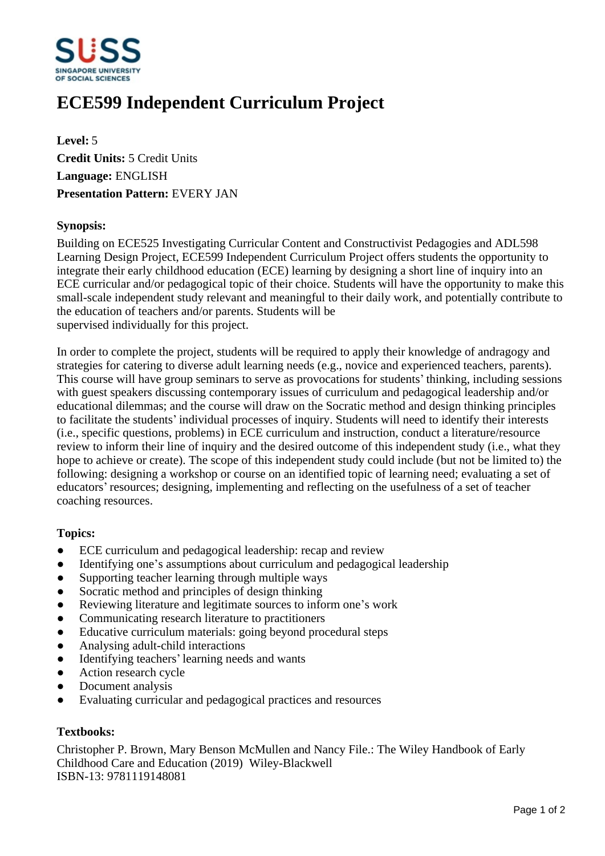

# **ECE599 Independent Curriculum Project**

**Level:** 5 **Credit Units:** 5 Credit Units **Language:** ENGLISH **Presentation Pattern:** EVERY JAN

### **Synopsis:**

Building on ECE525 Investigating Curricular Content and Constructivist Pedagogies and ADL598 Learning Design Project, ECE599 Independent Curriculum Project offers students the opportunity to integrate their early childhood education (ECE) learning by designing a short line of inquiry into an ECE curricular and/or pedagogical topic of their choice. Students will have the opportunity to make this small-scale independent study relevant and meaningful to their daily work, and potentially contribute to the education of teachers and/or parents. Students will be supervised individually for this project.

In order to complete the project, students will be required to apply their knowledge of andragogy and strategies for catering to diverse adult learning needs (e.g., novice and experienced teachers, parents). This course will have group seminars to serve as provocations for students' thinking, including sessions with guest speakers discussing contemporary issues of curriculum and pedagogical leadership and/or educational dilemmas; and the course will draw on the Socratic method and design thinking principles to facilitate the students' individual processes of inquiry. Students will need to identify their interests (i.e., specific questions, problems) in ECE curriculum and instruction, conduct a literature/resource review to inform their line of inquiry and the desired outcome of this independent study (i.e., what they hope to achieve or create). The scope of this independent study could include (but not be limited to) the following: designing a workshop or course on an identified topic of learning need; evaluating a set of educators' resources; designing, implementing and reflecting on the usefulness of a set of teacher coaching resources.

#### **Topics:**

- ECE curriculum and pedagogical leadership: recap and review
- Identifying one's assumptions about curriculum and pedagogical leadership
- Supporting teacher learning through multiple ways
- Socratic method and principles of design thinking
- Reviewing literature and legitimate sources to inform one's work
- Communicating research literature to practitioners
- Educative curriculum materials: going beyond procedural steps
- Analysing adult-child interactions
- Identifying teachers' learning needs and wants
- Action research cycle
- Document analysis
- Evaluating curricular and pedagogical practices and resources

## **Textbooks:**

Christopher P. Brown, Mary Benson McMullen and Nancy File.: The Wiley Handbook of Early Childhood Care and Education (2019) Wiley-Blackwell ISBN-13: 9781119148081